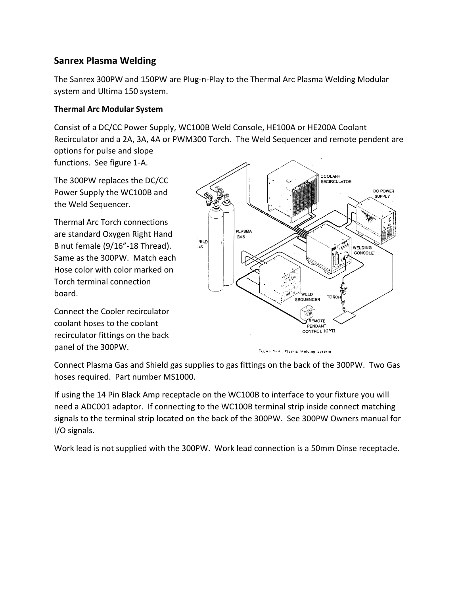## **Sanrex Plasma Welding**

The Sanrex 300PW and 150PW are Plug-n-Play to the Thermal Arc Plasma Welding Modular system and Ultima 150 system.

## **Thermal Arc Modular System**

Consist of a DC/CC Power Supply, WC100B Weld Console, HE100A or HE200A Coolant Recirculator and a 2A, 3A, 4A or PWM300 Torch. The Weld Sequencer and remote pendent are options for pulse and slope

functions. See figure 1-A.

The 300PW replaces the DC/CC Power Supply the WC100B and the Weld Sequencer.

Thermal Arc Torch connections are standard Oxygen Right Hand B nut female (9/16"-18 Thread). Same as the 300PW. Match each Hose color with color marked on Torch terminal connection board.

Connect the Cooler recirculator coolant hoses to the coolant recirculator fittings on the back panel of the 300PW.



Figure 1-A Plasma Welding System

Connect Plasma Gas and Shield gas supplies to gas fittings on the back of the 300PW. Two Gas hoses required. Part number MS1000.

If using the 14 Pin Black Amp receptacle on the WC100B to interface to your fixture you will need a ADC001 adaptor. If connecting to the WC100B terminal strip inside connect matching signals to the terminal strip located on the back of the 300PW. See 300PW Owners manual for I/O signals.

Work lead is not supplied with the 300PW. Work lead connection is a 50mm Dinse receptacle.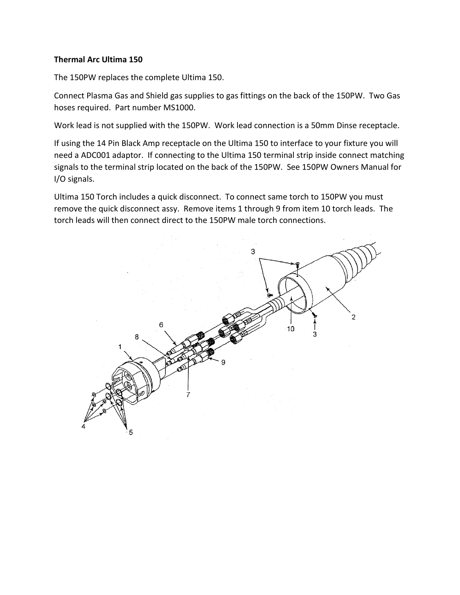## **Thermal Arc Ultima 150**

The 150PW replaces the complete Ultima 150.

Connect Plasma Gas and Shield gas supplies to gas fittings on the back of the 150PW. Two Gas hoses required. Part number MS1000.

Work lead is not supplied with the 150PW. Work lead connection is a 50mm Dinse receptacle.

If using the 14 Pin Black Amp receptacle on the Ultima 150 to interface to your fixture you will need a ADC001 adaptor. If connecting to the Ultima 150 terminal strip inside connect matching signals to the terminal strip located on the back of the 150PW. See 150PW Owners Manual for I/O signals.

Ultima 150 Torch includes a quick disconnect. To connect same torch to 150PW you must remove the quick disconnect assy. Remove items 1 through 9 from item 10 torch leads. The torch leads will then connect direct to the 150PW male torch connections.